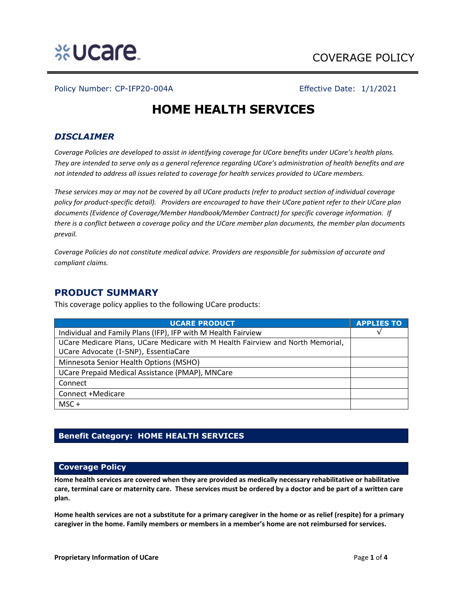

Policy Number: CP-IFP20-004A Effective Date: 1/1/2021

# **HOME HEALTH SERVICES**

# *DISCLAIMER*

*Coverage Policies are developed to assist in identifying coverage for UCare benefits under UCare's health plans. They are intended to serve only as a general reference regarding UCare's administration of health benefits and are not intended to address all issues related to coverage for health services provided to UCare members.*

*These services may or may not be covered by all UCare products (refer to product section of individual coverage policy for product-specific detail). Providers are encouraged to have their UCare patient refer to their UCare plan documents (Evidence of Coverage/Member Handbook/Member Contract) for specific coverage information. If there is a conflict between a coverage policy and the UCare member plan documents, the member plan documents prevail.* 

*Coverage Policies do not constitute medical advice. Providers are responsible for submission of accurate and compliant claims.* 

# **PRODUCT SUMMARY**

This coverage policy applies to the following UCare products:

| UCARE PRODUCT                                                                   | <b>APPLIES TO</b> |
|---------------------------------------------------------------------------------|-------------------|
| Individual and Family Plans (IFP), IFP with M Health Fairview                   |                   |
| UCare Medicare Plans, UCare Medicare with M Health Fairview and North Memorial, |                   |
| UCare Advocate (I-SNP), EssentiaCare                                            |                   |
| Minnesota Senior Health Options (MSHO)                                          |                   |
| UCare Prepaid Medical Assistance (PMAP), MNCare                                 |                   |
| Connect                                                                         |                   |
| Connect +Medicare                                                               |                   |
| $MSC +$                                                                         |                   |

# **Benefit Category: HOME HEALTH SERVICES**

## **Coverage Policy**

**Home health services are covered when they are provided as medically necessary rehabilitative or habilitative care, terminal care or maternity care. These services must be ordered by a doctor and be part of a written care plan.**

**Home health services are not a substitute for a primary caregiver in the home or as relief (respite) for a primary caregiver in the home. Family members or members in a member's home are not reimbursed for services.**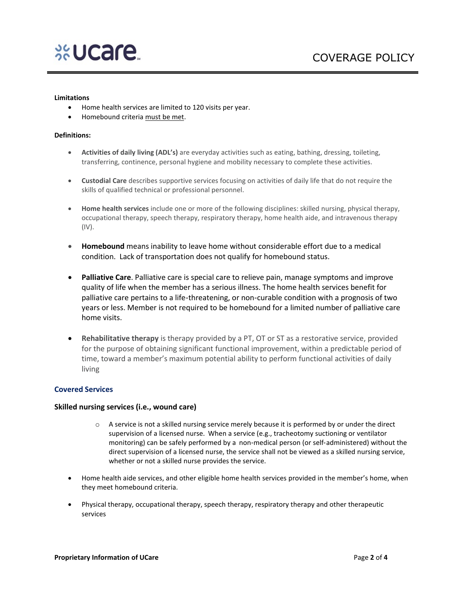

#### **Limitations**

- Home health services are limited to 120 visits per year.
- Homebound criteria must be met.

#### **Definitions:**

- **Activities of daily living (ADL's)** are everyday activities such as eating, bathing, dressing, toileting, transferring, continence, personal hygiene and mobility necessary to complete these activities.
- **Custodial Care** describes supportive services focusing on activities of daily life that do not require the skills of qualified technical or professional personnel.
- **Home health services** include one or more of the following disciplines: skilled nursing, physical therapy, occupational therapy, speech therapy, respiratory therapy, home health aide, and intravenous therapy (IV).
- **Homebound** means inability to leave home without considerable effort due to a medical condition. Lack of transportation does not qualify for homebound status.
- **Palliative Care**. Palliative care is special care to relieve pain, manage symptoms and improve quality of life when the member has a serious illness. The home health services benefit for palliative care pertains to a life-threatening, or non-curable condition with a prognosis of two years or less. Member is not required to be homebound for a limited number of palliative care home visits.
- **Rehabilitative therapy** is therapy provided by a PT, OT or ST as a restorative service, provided for the purpose of obtaining significant functional improvement, within a predictable period of time, toward a member's maximum potential ability to perform functional activities of daily living

#### **Covered Services**

#### **Skilled nursing services (i.e., wound care)**

- $\circ$  A service is not a skilled nursing service merely because it is performed by or under the direct supervision of a licensed nurse. When a service (e.g., tracheotomy suctioning or ventilator monitoring) can be safely performed by a non-medical person (or self-administered) without the direct supervision of a licensed nurse, the service shall not be viewed as a skilled nursing service, whether or not a skilled nurse provides the service.
- Home health aide services, and other eligible home health services provided in the member's home, when they meet homebound criteria.
- Physical therapy, occupational therapy, speech therapy, respiratory therapy and other therapeutic services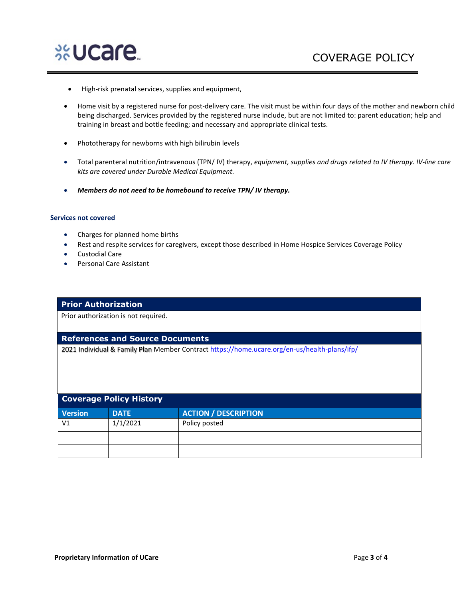

- High-risk prenatal services, supplies and equipment,
- Home visit by a registered nurse for post-delivery care. The visit must be within four days of the mother and newborn child being discharged. Services provided by the registered nurse include, but are not limited to: parent education; help and training in breast and bottle feeding; and necessary and appropriate clinical tests.
- Phototherapy for newborns with high bilirubin levels
- Total parenteral nutrition/intravenous (TPN/ IV) therapy, *equipment, supplies and drugs related to IV therapy. IV-line care kits are covered under Durable Medical Equipment.*
- *Members do not need to be homebound to receive TPN/ IV therapy.*

### **Services not covered**

- Charges for planned home births
- Rest and respite services for caregivers, except those described in Home Hospice Services Coverage Policy
- Custodial Care
- Personal Care Assistant

## **Prior Authorization**

Prior authorization is not required.

## **References and Source Documents**

2021 Individual & Family Plan Member Contract <https://home.ucare.org/en-us/health-plans/ifp/>

| <b>Coverage Policy History</b> |             |                             |  |
|--------------------------------|-------------|-----------------------------|--|
| <b>Version</b>                 | <b>DATE</b> | <b>ACTION / DESCRIPTION</b> |  |
| V <sub>1</sub>                 | 1/1/2021    | Policy posted               |  |
|                                |             |                             |  |
|                                |             |                             |  |